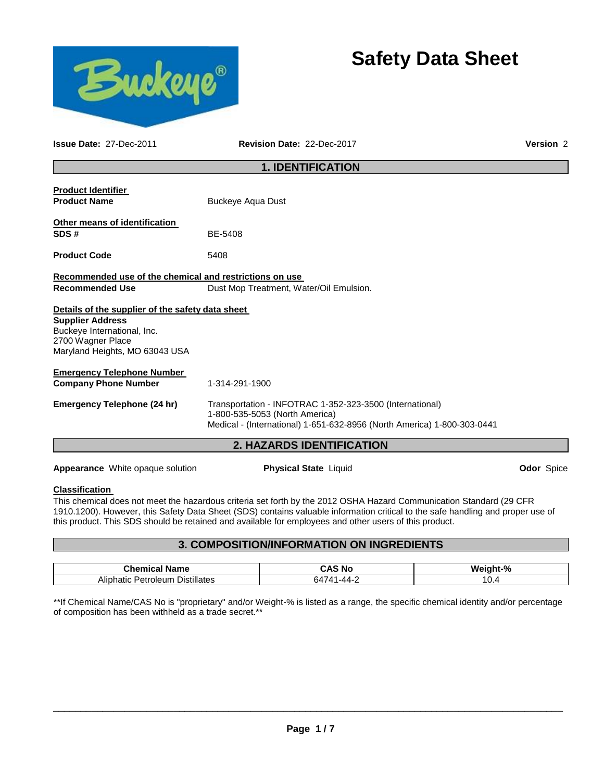



**Issue Date:** 27-Dec-2011 **Revision Date:** 22-Dec-2017 **Version** 2

# **1. IDENTIFICATION**

| <b>Product Identifier</b>                               |                                                                         |  |
|---------------------------------------------------------|-------------------------------------------------------------------------|--|
| <b>Product Name</b>                                     | <b>Buckeye Aqua Dust</b>                                                |  |
| Other means of identification                           |                                                                         |  |
| SDS#                                                    | BE-5408                                                                 |  |
| <b>Product Code</b>                                     | 5408                                                                    |  |
| Recommended use of the chemical and restrictions on use |                                                                         |  |
| <b>Recommended Use</b>                                  | Dust Mop Treatment, Water/Oil Emulsion.                                 |  |
| Details of the supplier of the safety data sheet        |                                                                         |  |
| <b>Supplier Address</b>                                 |                                                                         |  |
| Buckeye International, Inc.                             |                                                                         |  |
| 2700 Wagner Place                                       |                                                                         |  |
| Maryland Heights, MO 63043 USA                          |                                                                         |  |
| <b>Emergency Telephone Number</b>                       |                                                                         |  |
| <b>Company Phone Number</b>                             | 1-314-291-1900                                                          |  |
| <b>Emergency Telephone (24 hr)</b>                      | Transportation - INFOTRAC 1-352-323-3500 (International)                |  |
|                                                         | 1-800-535-5053 (North America)                                          |  |
|                                                         | Medical - (International) 1-651-632-8956 (North America) 1-800-303-0441 |  |
| <b>2. HAZARDS IDENTIFICATION</b>                        |                                                                         |  |

**Appearance** White opaque solution **Physical State** Liquid **Constant Constant Constant Constant Constant Property** 

# **Classification**

This chemical does not meet the hazardous criteria set forth by the 2012 OSHA Hazard Communication Standard (29 CFR 1910.1200). However, this Safety Data Sheet (SDS) contains valuable information critical to the safe handling and proper use of this product. This SDS should be retained and available for employees and other users of this product.

## **3. COMPOSITION/INFORMATION ON INGREDIENTS**

| .<br>Name<br>۸œ<br>mca                        | ⊸ ∧ .<br>.No<br>しハー                               | -04<br>w. |
|-----------------------------------------------|---------------------------------------------------|-----------|
| Distillates<br>Aliphatic<br>troleum؛<br>-Petr | $\Delta$ A<br>54<br>$\overline{ }$<br>$\sim$<br>- | ∿.−       |

\*\*If Chemical Name/CAS No is "proprietary" and/or Weight-% is listed as a range, the specific chemical identity and/or percentage of composition has been withheld as a trade secret.\*\*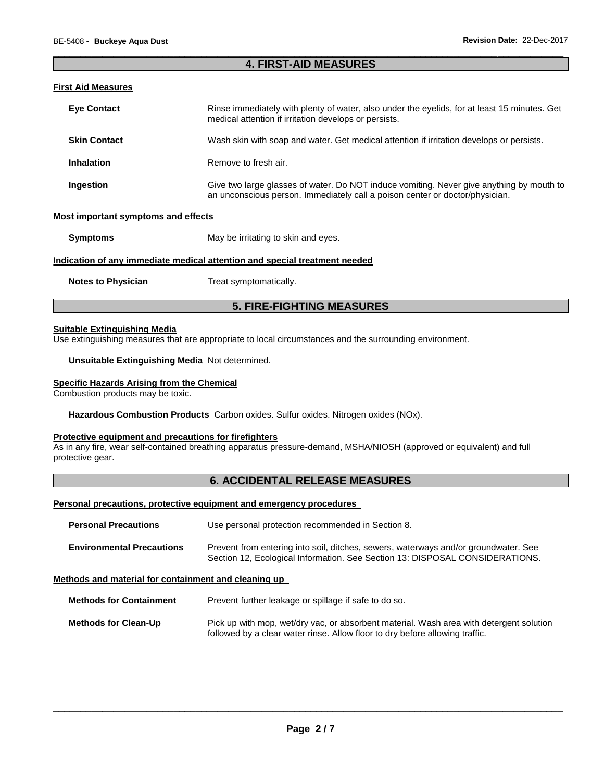### \_\_\_\_\_\_\_\_\_\_\_\_\_\_\_\_\_\_\_\_\_\_\_\_\_\_\_\_\_\_\_\_\_\_\_\_\_\_\_\_\_\_\_\_\_\_\_\_\_\_\_\_\_\_\_\_\_\_\_\_\_\_\_\_\_\_\_\_\_\_\_\_\_\_\_\_\_\_\_\_\_\_\_\_\_\_\_\_\_\_\_\_\_ **4. FIRST-AID MEASURES**

## **First Aid Measures**

| <b>Eye Contact</b>  | Rinse immediately with plenty of water, also under the eyelids, for at least 15 minutes. Get<br>medical attention if irritation develops or persists.                    |
|---------------------|--------------------------------------------------------------------------------------------------------------------------------------------------------------------------|
| <b>Skin Contact</b> | Wash skin with soap and water. Get medical attention if irritation develops or persists.                                                                                 |
| <b>Inhalation</b>   | Remove to fresh air.                                                                                                                                                     |
| Ingestion           | Give two large glasses of water. Do NOT induce vomiting. Never give anything by mouth to<br>an unconscious person. Immediately call a poison center or doctor/physician. |

## **Most important symptoms and effects**

| May be irritating to skin and eyes.<br><b>Symptoms</b> |
|--------------------------------------------------------|
|--------------------------------------------------------|

### **Indication of any immediate medical attention and special treatment needed**

**Notes to Physician Treat symptomatically.** 

## **5. FIRE-FIGHTING MEASURES**

## **Suitable Extinguishing Media**

Use extinguishing measures that are appropriate to local circumstances and the surrounding environment.

### **Unsuitable Extinguishing Media** Not determined.

### **Specific Hazards Arising from the Chemical**

Combustion products may be toxic.

#### **Hazardous Combustion Products** Carbon oxides. Sulfur oxides. Nitrogen oxides (NOx).

#### **Protective equipment and precautions for firefighters**

As in any fire, wear self-contained breathing apparatus pressure-demand, MSHA/NIOSH (approved or equivalent) and full protective gear.

# **6. ACCIDENTAL RELEASE MEASURES**

## **Personal precautions, protective equipment and emergency procedures**

| <b>Personal Precautions</b>      | Use personal protection recommended in Section 8.                                                                                                                   |  |
|----------------------------------|---------------------------------------------------------------------------------------------------------------------------------------------------------------------|--|
| <b>Environmental Precautions</b> | Prevent from entering into soil, ditches, sewers, waterways and/or groundwater. See<br>Section 12, Ecological Information. See Section 13: DISPOSAL CONSIDERATIONS. |  |

### **Methods and material for containment and cleaning up**

| <b>Methods for Containment</b> | Prevent further leakage or spillage if safe to do so.                                                                                                                   |
|--------------------------------|-------------------------------------------------------------------------------------------------------------------------------------------------------------------------|
| <b>Methods for Clean-Up</b>    | Pick up with mop, wet/dry vac, or absorbent material. Wash area with detergent solution<br>followed by a clear water rinse. Allow floor to dry before allowing traffic. |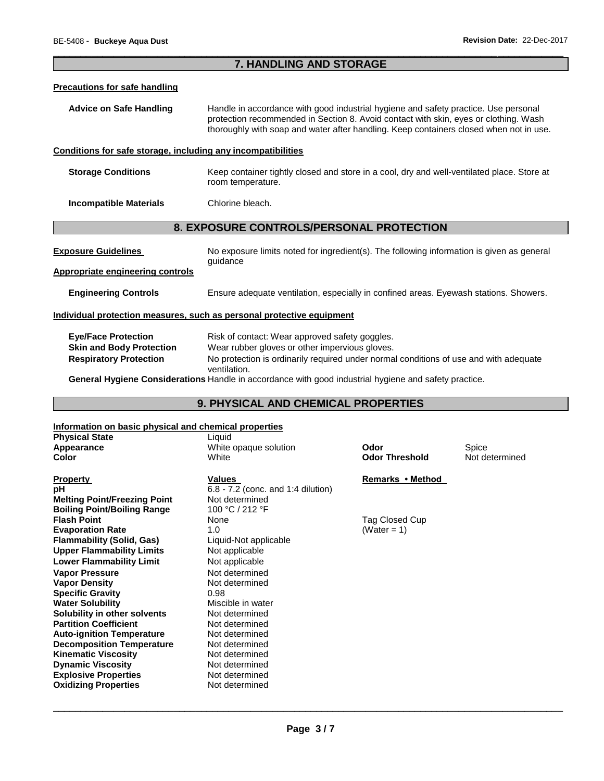## \_\_\_\_\_\_\_\_\_\_\_\_\_\_\_\_\_\_\_\_\_\_\_\_\_\_\_\_\_\_\_\_\_\_\_\_\_\_\_\_\_\_\_\_\_\_\_\_\_\_\_\_\_\_\_\_\_\_\_\_\_\_\_\_\_\_\_\_\_\_\_\_\_\_\_\_\_\_\_\_\_\_\_\_\_\_\_\_\_\_\_\_\_ **7. HANDLING AND STORAGE**

### **Precautions for safe handling**

| Advice on Safe Handling | Handle in accordance with good industrial hygiene and safety practice. Use personal    |
|-------------------------|----------------------------------------------------------------------------------------|
|                         | protection recommended in Section 8. Avoid contact with skin, eyes or clothing. Wash   |
|                         | thoroughly with soap and water after handling. Keep containers closed when not in use. |

### **Conditions for safe storage, including any incompatibilities**

**Storage Conditions** Keep container tightly closed and store in a cool, dry and well-ventilated place. Store at room temperature.

## **Incompatible Materials Chlorine bleach.**

# **8. EXPOSURE CONTROLS/PERSONAL PROTECTION**

| <b>Exposure Guidelines</b>              | No exposure limits noted for ingredient(s). The following information is given as general<br>quidance |
|-----------------------------------------|-------------------------------------------------------------------------------------------------------|
| <b>Appropriate engineering controls</b> |                                                                                                       |
| <b>Engineering Controls</b>             | Ensure adequate ventilation, especially in confined areas. Eyewash stations. Showers.                 |

# **Individual protection measures, such as personal protective equipment**

| No protection is ordinarily required under normal conditions of use and with adequate |
|---------------------------------------------------------------------------------------|
|                                                                                       |
|                                                                                       |

**General Hygiene Considerations** Handle in accordance with good industrial hygiene and safety practice.

# **9. PHYSICAL AND CHEMICAL PROPERTIES**

### **Information on basic physical and chemical properties**

| <b>Physical State</b>               | Liquid                             |                       |                |
|-------------------------------------|------------------------------------|-----------------------|----------------|
| Appearance                          | White opaque solution              | Odor                  | Spice          |
| Color                               | White                              | <b>Odor Threshold</b> | Not determined |
| <b>Property</b>                     | <b>Values</b>                      | Remarks • Method      |                |
| рH                                  | 6.8 - 7.2 (conc. and 1:4 dilution) |                       |                |
| <b>Melting Point/Freezing Point</b> | Not determined                     |                       |                |
| <b>Boiling Point/Boiling Range</b>  | 100 °C / 212 °F                    |                       |                |
| <b>Flash Point</b>                  | None                               | Tag Closed Cup        |                |
| <b>Evaporation Rate</b>             | 1.0                                | (Water = 1)           |                |
| <b>Flammability (Solid, Gas)</b>    | Liquid-Not applicable              |                       |                |
| <b>Upper Flammability Limits</b>    | Not applicable                     |                       |                |
| <b>Lower Flammability Limit</b>     | Not applicable                     |                       |                |
| <b>Vapor Pressure</b>               | Not determined                     |                       |                |
| <b>Vapor Density</b>                | Not determined                     |                       |                |
| <b>Specific Gravity</b>             | 0.98                               |                       |                |
| <b>Water Solubility</b>             | Miscible in water                  |                       |                |
| Solubility in other solvents        | Not determined                     |                       |                |
| <b>Partition Coefficient</b>        | Not determined                     |                       |                |
| <b>Auto-ignition Temperature</b>    | Not determined                     |                       |                |
| <b>Decomposition Temperature</b>    | Not determined                     |                       |                |
| <b>Kinematic Viscosity</b>          | Not determined                     |                       |                |
| <b>Dynamic Viscosity</b>            | Not determined                     |                       |                |
| <b>Explosive Properties</b>         | Not determined                     |                       |                |
| <b>Oxidizing Properties</b>         | Not determined                     |                       |                |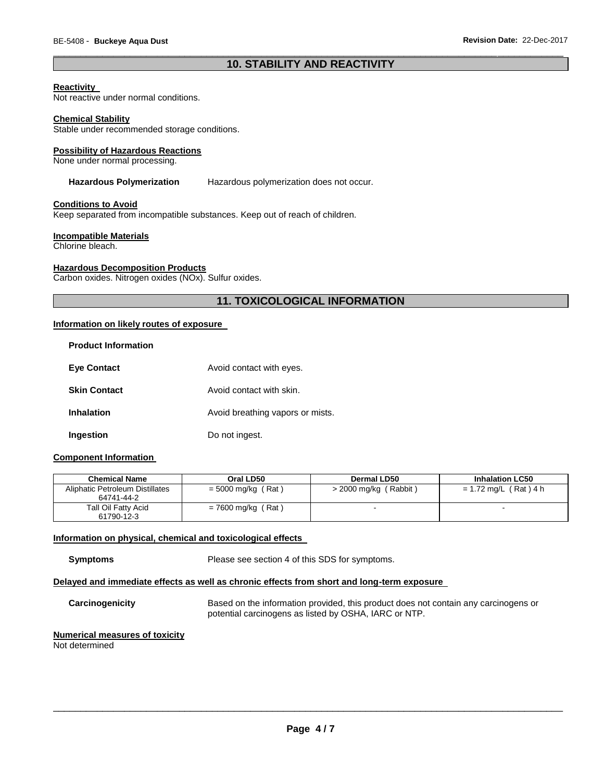## \_\_\_\_\_\_\_\_\_\_\_\_\_\_\_\_\_\_\_\_\_\_\_\_\_\_\_\_\_\_\_\_\_\_\_\_\_\_\_\_\_\_\_\_\_\_\_\_\_\_\_\_\_\_\_\_\_\_\_\_\_\_\_\_\_\_\_\_\_\_\_\_\_\_\_\_\_\_\_\_\_\_\_\_\_\_\_\_\_\_\_\_\_ **10. STABILITY AND REACTIVITY**

### **Reactivity**

Not reactive under normal conditions.

### **Chemical Stability**

Stable under recommended storage conditions.

#### **Possibility of Hazardous Reactions**

None under normal processing.

## **Hazardous Polymerization** Hazardous polymerization does not occur.

#### **Conditions to Avoid**

Keep separated from incompatible substances. Keep out of reach of children.

### **Incompatible Materials**

Chlorine bleach.

### **Hazardous Decomposition Products**

Carbon oxides. Nitrogen oxides (NOx). Sulfur oxides.

# **11. TOXICOLOGICAL INFORMATION**

### **Information on likely routes of exposure**

| <b>Product Information</b> |                                  |
|----------------------------|----------------------------------|
| <b>Eye Contact</b>         | Avoid contact with eyes.         |
| <b>Skin Contact</b>        | Avoid contact with skin.         |
| <b>Inhalation</b>          | Avoid breathing vapors or mists. |
| Ingestion                  | Do not ingest.                   |

### **Component Information**

| <b>Chemical Name</b>                          | Oral LD50            | Dermal LD50             | <b>Inhalation LC50</b>  |
|-----------------------------------------------|----------------------|-------------------------|-------------------------|
| Aliphatic Petroleum Distillates<br>64741-44-2 | $= 5000$ mg/kg (Rat) | $>$ 2000 mg/kg (Rabbit) | $= 1.72$ mg/L (Rat) 4 h |
| Tall Oil Fatty Acid<br>61790-12-3             | $= 7600$ mg/kg (Rat) |                         |                         |

### **Information on physical, chemical and toxicological effects**

**Symptoms** Please see section 4 of this SDS for symptoms.

# **Delayed and immediate effects as well as chronic effects from short and long-term exposure**

**Carcinogenicity** Based on the information provided, this product does not contain any carcinogens or potential carcinogens as listed by OSHA, IARC or NTP.

#### **Numerical measures of toxicity** Not determined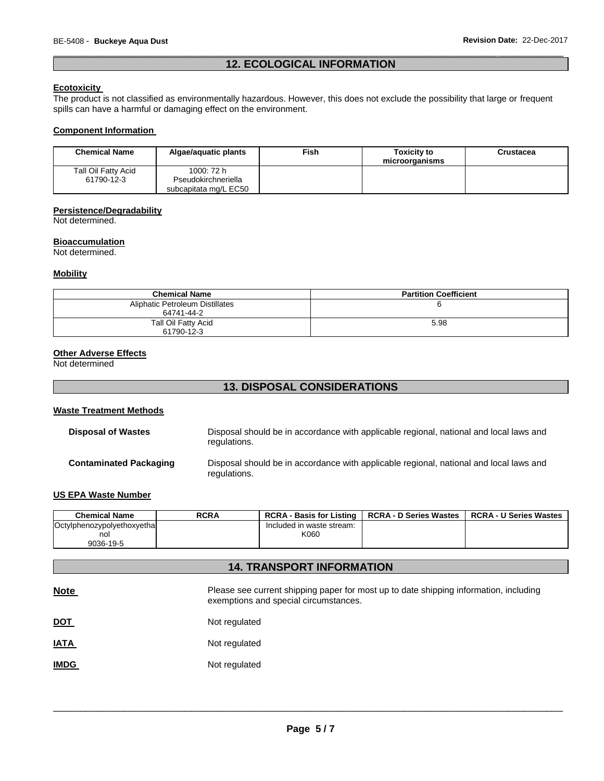## \_\_\_\_\_\_\_\_\_\_\_\_\_\_\_\_\_\_\_\_\_\_\_\_\_\_\_\_\_\_\_\_\_\_\_\_\_\_\_\_\_\_\_\_\_\_\_\_\_\_\_\_\_\_\_\_\_\_\_\_\_\_\_\_\_\_\_\_\_\_\_\_\_\_\_\_\_\_\_\_\_\_\_\_\_\_\_\_\_\_\_\_\_ **12. ECOLOGICAL INFORMATION**

# **Ecotoxicity**

The product is not classified as environmentally hazardous. However, this does not exclude the possibility that large or frequent spills can have a harmful or damaging effect on the environment.

## **Component Information**

| <b>Chemical Name</b> | Algae/aguatic plants  | <b>Fish</b> | <b>Toxicity to</b><br>microorganisms | Crustacea |
|----------------------|-----------------------|-------------|--------------------------------------|-----------|
| Tall Oil Fatty Acid  | 1000: 72 h            |             |                                      |           |
| 61790-12-3           | Pseudokirchneriella   |             |                                      |           |
|                      | subcapitata mg/L EC50 |             |                                      |           |

### **Persistence/Degradability**

Not determined.

### **Bioaccumulation**

Not determined.

### **Mobility**

| <b>Chemical Name</b>                          | <b>Partition Coefficient</b> |
|-----------------------------------------------|------------------------------|
| Aliphatic Petroleum Distillates<br>64741-44-2 |                              |
| Tall Oil Fatty Acid<br>61790-12-3             | 5.98                         |

### **Other Adverse Effects**

Not determined

# **13. DISPOSAL CONSIDERATIONS**

### **Waste Treatment Methods**

| <b>Disposal of Wastes</b>     | Disposal should be in accordance with applicable regional, national and local laws and<br>regulations. |
|-------------------------------|--------------------------------------------------------------------------------------------------------|
| <b>Contaminated Packaging</b> | Disposal should be in accordance with applicable regional, national and local laws and<br>regulations. |

## **US EPA Waste Number**

| <b>Chemical Name</b>       | <b>RCRA</b> | <b>RCRA - Basis for Listing</b> | <b>RCRA - D Series Wastes</b> | <b>RCRA - U Series Wastes</b> |
|----------------------------|-------------|---------------------------------|-------------------------------|-------------------------------|
| Octylphenozypolyethoxyetha |             | Included in waste stream:       |                               |                               |
| nol                        |             | K060                            |                               |                               |
| 9036-19-5                  |             |                                 |                               |                               |

# **14. TRANSPORT INFORMATION**

| <b>Note</b> | Please see current shipping paper for most up to date shipping information, including<br>exemptions and special circumstances. |
|-------------|--------------------------------------------------------------------------------------------------------------------------------|
| <u>DOT</u>  | Not regulated                                                                                                                  |
| <u>IATA</u> | Not regulated                                                                                                                  |
| <b>IMDG</b> | Not regulated                                                                                                                  |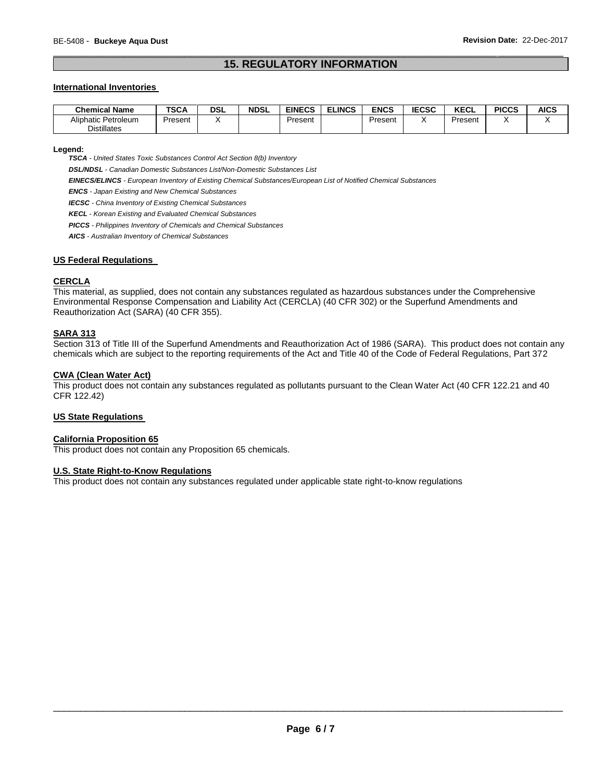## \_\_\_\_\_\_\_\_\_\_\_\_\_\_\_\_\_\_\_\_\_\_\_\_\_\_\_\_\_\_\_\_\_\_\_\_\_\_\_\_\_\_\_\_\_\_\_\_\_\_\_\_\_\_\_\_\_\_\_\_\_\_\_\_\_\_\_\_\_\_\_\_\_\_\_\_\_\_\_\_\_\_\_\_\_\_\_\_\_\_\_\_\_ **15. REGULATORY INFORMATION**

### **International Inventories**

| <b>Chemical Name</b>                      | <b>TSCA</b> | DSL | <b>NDSL</b> | <b>EINECS</b> | <b>ELINCS</b> | <b>ENCS</b> | <b>IECSC</b> | <b>KECL</b> | <b>PICCS</b> | <b>AICS</b> |
|-------------------------------------------|-------------|-----|-------------|---------------|---------------|-------------|--------------|-------------|--------------|-------------|
| Aliphatic Petroleum<br><b>Distillates</b> | Present     |     |             | Present       |               | Present     |              | Present     |              |             |

#### **Legend:**

*TSCA - United States Toxic Substances Control Act Section 8(b) Inventory* 

*DSL/NDSL - Canadian Domestic Substances List/Non-Domestic Substances List* 

*EINECS/ELINCS - European Inventory of Existing Chemical Substances/European List of Notified Chemical Substances* 

*ENCS - Japan Existing and New Chemical Substances* 

*IECSC - China Inventory of Existing Chemical Substances* 

*KECL - Korean Existing and Evaluated Chemical Substances* 

*PICCS - Philippines Inventory of Chemicals and Chemical Substances* 

*AICS - Australian Inventory of Chemical Substances* 

### **US Federal Regulations**

## **CERCLA**

This material, as supplied, does not contain any substances regulated as hazardous substances under the Comprehensive Environmental Response Compensation and Liability Act (CERCLA) (40 CFR 302) or the Superfund Amendments and Reauthorization Act (SARA) (40 CFR 355).

### **SARA 313**

Section 313 of Title III of the Superfund Amendments and Reauthorization Act of 1986 (SARA). This product does not contain any chemicals which are subject to the reporting requirements of the Act and Title 40 of the Code of Federal Regulations, Part 372

### **CWA (Clean Water Act)**

This product does not contain any substances regulated as pollutants pursuant to the Clean Water Act (40 CFR 122.21 and 40 CFR 122.42)

### **US State Regulations**

#### **California Proposition 65**

This product does not contain any Proposition 65 chemicals.

#### **U.S. State Right-to-Know Regulations**

This product does not contain any substances regulated under applicable state right-to-know regulations